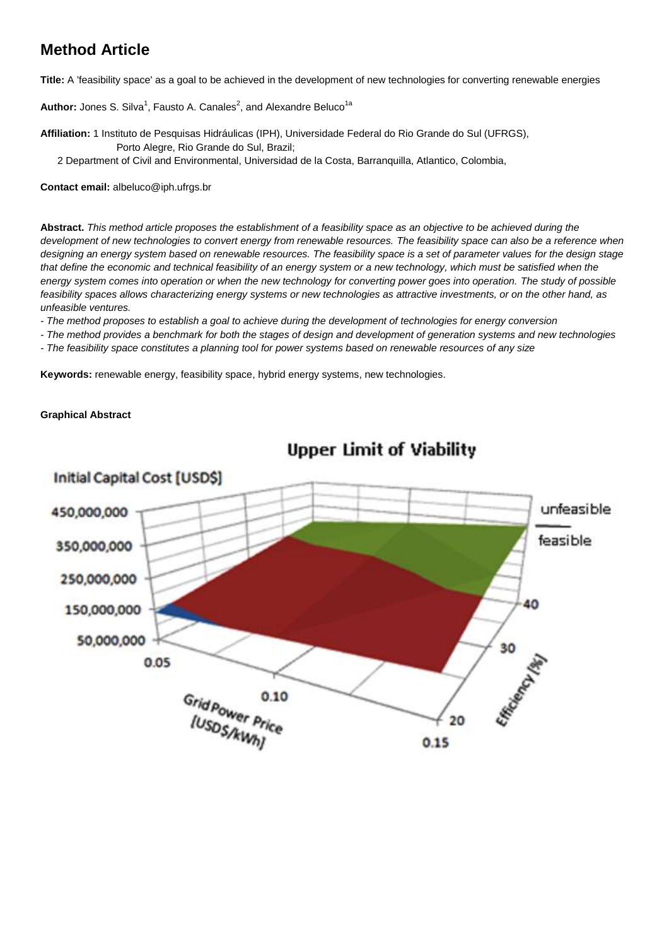# **Method Article**

**Title:** A 'feasibility space' as a goal to be achieved in the development of new technologies for converting renewable energies

Author: Jones S. Silva<sup>1</sup>, Fausto A. Canales<sup>2</sup>, and Alexandre Beluco<sup>1a</sup>

- **Affiliation:** 1 Instituto de Pesquisas Hidráulicas (IPH), Universidade Federal do Rio Grande do Sul (UFRGS), Porto Alegre, Rio Grande do Sul, Brazil;
	- 2 Department of Civil and Environmental, Universidad de la Costa, Barranquilla, Atlantico, Colombia,

**Contact email:** albeluco@iph.ufrgs.br

**Abstract.** *This method article proposes the establishment of a feasibility space as an objective to be achieved during the development of new technologies to convert energy from renewable resources. The feasibility space can also be a reference when designing an energy system based on renewable resources. The feasibility space is a set of parameter values for the design stage that define the economic and technical feasibility of an energy system or a new technology, which must be satisfied when the energy system comes into operation or when the new technology for converting power goes into operation. The study of possible feasibility spaces allows characterizing energy systems or new technologies as attractive investments, or on the other hand, as unfeasible ventures.*

*- The method proposes to establish a goal to achieve during the development of technologies for energy conversion*

- *- The method provides a benchmark for both the stages of design and development of generation systems and new technologies*
- *- The feasibility space constitutes a planning tool for power systems based on renewable resources of any size*

**Keywords:** renewable energy, feasibility space, hybrid energy systems, new technologies.

## **Graphical Abstract**



**Upper Limit of Viability**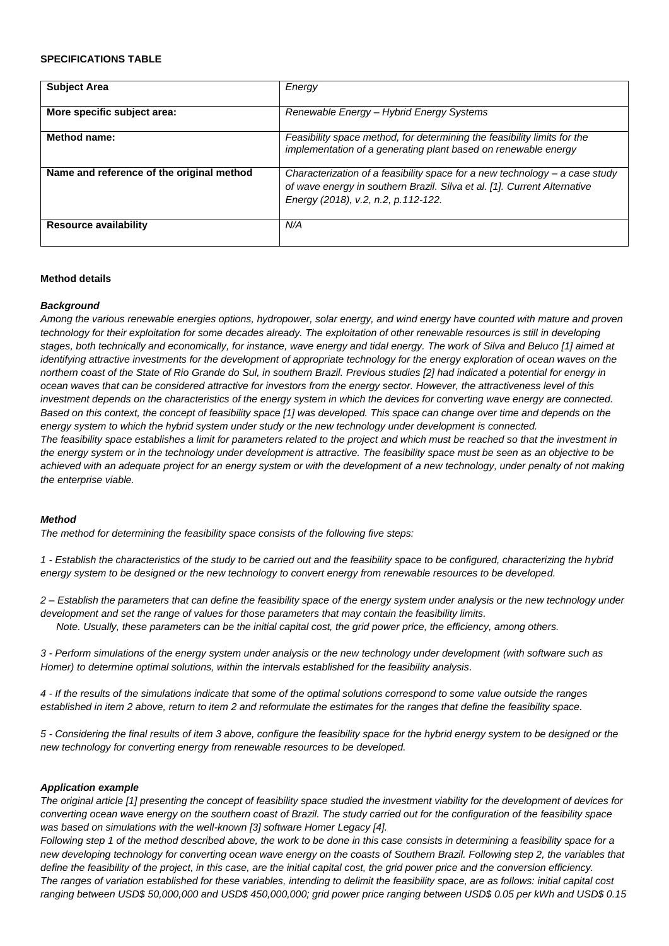#### **SPECIFICATIONS TABLE**

| <b>Subject Area</b>                       | Energy                                                                                                                                                                                         |
|-------------------------------------------|------------------------------------------------------------------------------------------------------------------------------------------------------------------------------------------------|
| More specific subject area:               | Renewable Energy - Hybrid Energy Systems                                                                                                                                                       |
| Method name:                              | Feasibility space method, for determining the feasibility limits for the<br>implementation of a generating plant based on renewable energy                                                     |
| Name and reference of the original method | Characterization of a feasibility space for a new technology - a case study<br>of wave energy in southern Brazil. Silva et al. [1]. Current Alternative<br>Energy (2018), v.2, n.2, p.112-122. |
| <b>Resource availability</b>              | N/A                                                                                                                                                                                            |

## **Method details**

#### *Background*

*Among the various renewable energies options, hydropower, solar energy, and wind energy have counted with mature and proven technology for their exploitation for some decades already. The exploitation of other renewable resources is still in developing stages, both technically and economically, for instance, wave energy and tidal energy. The work of Silva and Beluco [1] aimed at identifying attractive investments for the development of appropriate technology for the energy exploration of ocean waves on the northern coast of the State of Rio Grande do Sul, in southern Brazil. Previous studies [2] had indicated a potential for energy in ocean waves that can be considered attractive for investors from the energy sector. However, the attractiveness level of this investment depends on the characteristics of the energy system in which the devices for converting wave energy are connected. Based on this context, the concept of feasibility space [1] was developed. This space can change over time and depends on the energy system to which the hybrid system under study or the new technology under development is connected. The feasibility space establishes a limit for parameters related to the project and which must be reached so that the investment in the energy system or in the technology under development is attractive. The feasibility space must be seen as an objective to be achieved with an adequate project for an energy system or with the development of a new technology, under penalty of not making the enterprise viable.*

#### *Method*

*The method for determining the feasibility space consists of the following five steps:*

*1 - Establish the characteristics of the study to be carried out and the feasibility space to be configured, characterizing the hybrid energy system to be designed or the new technology to convert energy from renewable resources to be developed.*

*2 – Establish the parameters that can define the feasibility space of the energy system under analysis or the new technology under development and set the range of values for those parameters that may contain the feasibility limits.*

*Note. Usually, these parameters can be the initial capital cost, the grid power price, the efficiency, among others.*

*3 - Perform simulations of the energy system under analysis or the new technology under development (with software such as Homer) to determine optimal solutions, within the intervals established for the feasibility analysis.*

*4 - If the results of the simulations indicate that some of the optimal solutions correspond to some value outside the ranges established in item 2 above, return to item 2 and reformulate the estimates for the ranges that define the feasibility space.*

*5 - Considering the final results of item 3 above, configure the feasibility space for the hybrid energy system to be designed or the new technology for converting energy from renewable resources to be developed.*

#### *Application example*

*The original article [1] presenting the concept of feasibility space studied the investment viability for the development of devices for converting ocean wave energy on the southern coast of Brazil. The study carried out for the configuration of the feasibility space was based on simulations with the well-known [3] software Homer Legacy [4].*

*Following step 1 of the method described above, the work to be done in this case consists in determining a feasibility space for a new developing technology for converting ocean wave energy on the coasts of Southern Brazil. Following step 2, the variables that define the feasibility of the project, in this case, are the initial capital cost, the grid power price and the conversion efficiency. The ranges of variation established for these variables, intending to delimit the feasibility space, are as follows: initial capital cost ranging between USD\$ 50,000,000 and USD\$ 450,000,000; grid power price ranging between USD\$ 0.05 per kWh and USD\$ 0.15*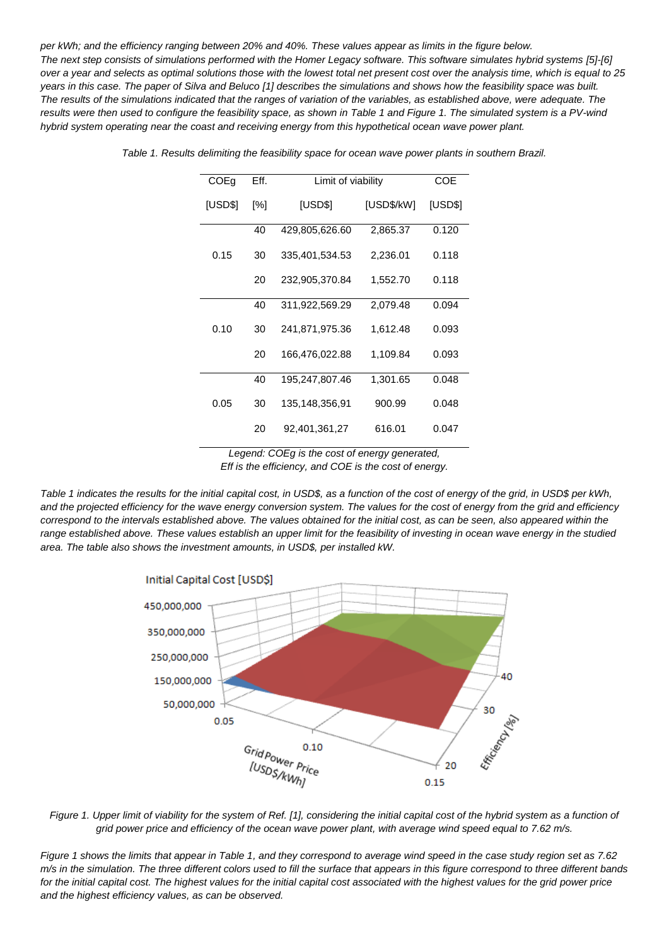*per kWh; and the efficiency ranging between 20% and 40%. These values appear as limits in the figure below. The next step consists of simulations performed with the Homer Legacy software. This software simulates hybrid systems [5]-[6] over a year and selects as optimal solutions those with the lowest total net present cost over the analysis time, which is equal to 25 years in this case. The paper of Silva and Beluco [1] describes the simulations and shows how the feasibility space was built. The results of the simulations indicated that the ranges of variation of the variables, as established above, were adequate. The results were then used to configure the feasibility space, as shown in Table 1 and Figure 1. The simulated system is a PV-wind hybrid system operating near the coast and receiving energy from this hypothetical ocean wave power plant.*

| COEg    | Eff. | Limit of viability |            | <b>COE</b> |
|---------|------|--------------------|------------|------------|
| [USD\$] | [%]  | [USD\$]            | [USD\$/kW] | [USD\$]    |
| 0.15    | 40   | 429,805,626.60     | 2,865.37   | 0.120      |
|         | 30   | 335,401,534.53     | 2,236.01   | 0.118      |
|         | 20   | 232,905,370.84     | 1,552.70   | 0.118      |
| 0.10    | 40   | 311,922,569.29     | 2,079.48   | 0.094      |
|         | 30   | 241,871,975.36     | 1,612.48   | 0.093      |
|         | 20   | 166,476,022.88     | 1,109.84   | 0.093      |
| 0.05    | 40   | 195,247,807.46     | 1,301.65   | 0.048      |
|         | 30   | 135,148,356,91     | 900.99     | 0.048      |
|         | 20   | 92,401,361,27      | 616.01     | 0.047      |

*Table 1. Results delimiting the feasibility space for ocean wave power plants in southern Brazil.*

*Legend: COEg is the cost of energy generated, Eff is the efficiency, and COE is the cost of energy.*

*Table 1 indicates the results for the initial capital cost, in USD\$, as a function of the cost of energy of the grid, in USD\$ per kWh, and the projected efficiency for the wave energy conversion system. The values for the cost of energy from the grid and efficiency correspond to the intervals established above. The values obtained for the initial cost, as can be seen, also appeared within the range established above. These values establish an upper limit for the feasibility of investing in ocean wave energy in the studied area. The table also shows the investment amounts, in USD\$, per installed kW.*



*Figure 1. Upper limit of viability for the system of Ref. [1], considering the initial capital cost of the hybrid system as a function of grid power price and efficiency of the ocean wave power plant, with average wind speed equal to 7.62 m/s.*

*Figure 1 shows the limits that appear in Table 1, and they correspond to average wind speed in the case study region set as 7.62 m/s in the simulation. The three different colors used to fill the surface that appears in this figure correspond to three different bands for the initial capital cost. The highest values for the initial capital cost associated with the highest values for the grid power price and the highest efficiency values, as can be observed.*